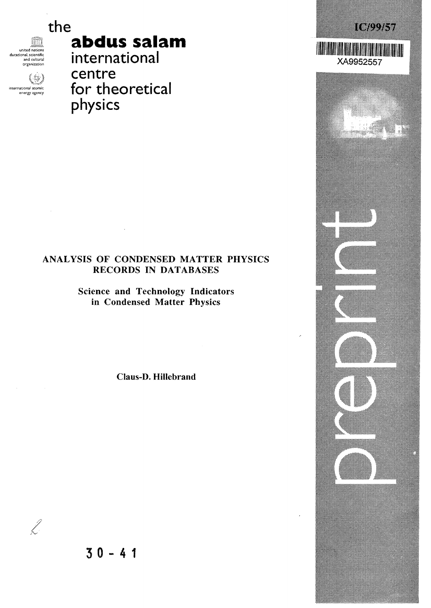united nations<br>ducational, scientific and cultural organization

international atomic energy agency

(8)

# the *ic/mmi* **abdus salam**

XA9952557

international centre for theoretical physics

## ANALYSIS OF CONDENSED MATTER PHYSICS RECORDS IN DATABASES

Science and Technology Indicators in Condensed Matter Physics

Claus-D. Hillebrand



L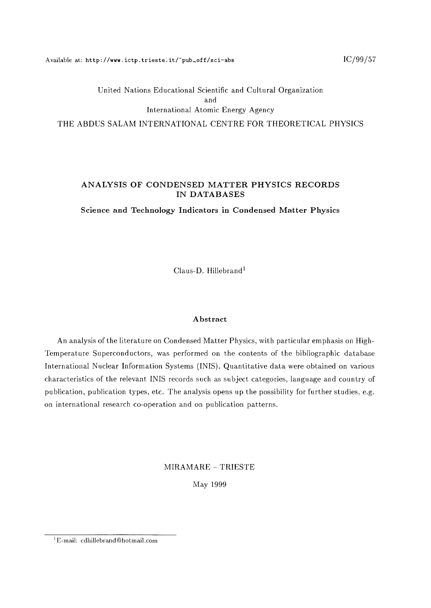Available at: http://www.ictp.trieste.it/~pub\_off/sci-abs  $IC/99/57$ 

## United Nations Educational Scientific and Cultural Organization and International Atomic Energy Agency THE ABDUS SALAM INTERNATIONAL CENTRE FOR THEORETICAL PHYSICS

## **ANALYSIS OF CONDENSED MATTER PHYSICS RECORDS IN DATABASES**

**Science and Technology Indicators in Condensed Matter Physics**

Claus-D. Hillebrand<sup>1</sup>

#### **Abstract**

An analysis of the literature on Condensed Matter Physics, with particular emphasis on High-Temperature Superconductors, was performed on the contents of the bibliographic database International Nuclear Information Systems (INIS). Quantitative data were obtained on various characteristics of the relevant INIS records such as subject categories, language and country of publication, publication types, etc. The analysis opens up the possibility for further studies, e.g. on international research co-operation and on publication patterns.

MIRAMARE - TRIESTE

May 1999

 $^1$ E-mail: <code>cdhillebrand@hotmail.com</code>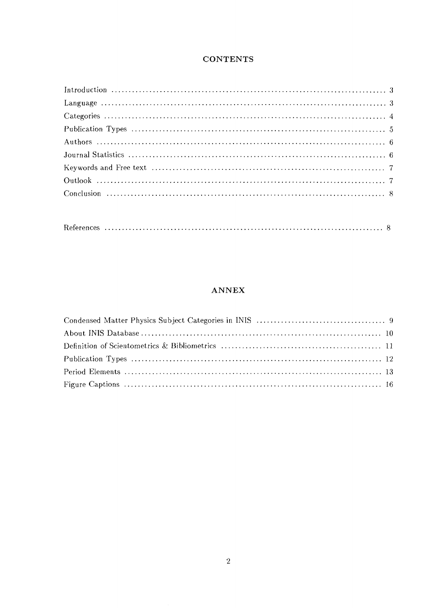## **CONTENTS**

## **ANNEX**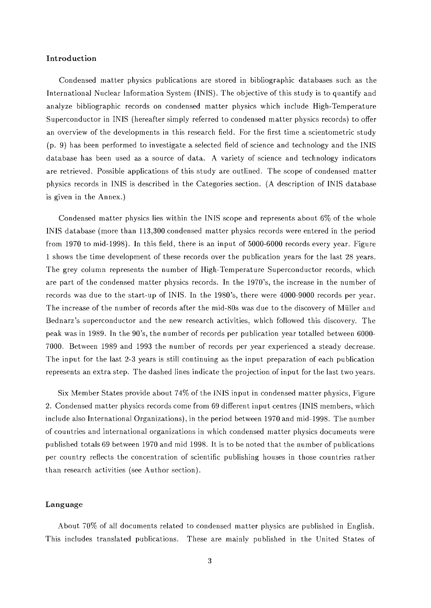#### **Introduction**

Condensed matter physics publications are stored in bibliographic databases such as the International Nuclear Information System (INIS). The objective of this study is to quantify and analyze bibliographic records on condensed matter physics which include High-Temperature Superconductor in INIS (hereafter simply referred to condensed matter physics records) to offer an overview of the developments in this research field. For the first time a scientometric study (p. 9) has been performed to investigate a selected field of science and technology and the INIS database has been used as a source of data. A variety of science and technology indicators are retrieved. Possible applications of this study are outlined. The scope of condensed matter physics records in INIS is described in the Categories section. (A description of INIS database is given in the Annex.)

Condensed matter physics lies within the INIS scope and represents about 6% of the whole INIS database (more than 113,300 condensed matter physics records were entered in the period from 1970 to mid-1998). In this field, there is an input of 5000-6000 records every year. Figure 1 shows the time development of these records over the publication years for the last 28 years. The grey column represents the number of High-Temperature Superconductor records, which are part of the condensed matter physics records. In the 1970's, the increase in the number of records was due to the start-up of INIS. In the 1980's, there were 4000-9000 records per year. The increase of the number of records after the mid-80s was due to the discovery of Miiller and Bednarz's superconductor and the new research activities, which followed this discovery. The peak was in 1989. In the 90's, the number of records per publication year totalled between 6000- 7000. Between 1989 and 1993 the number of records per year experienced a steady decrease. The input for the last 2-3 years is still continuing as the input preparation of each publication represents an extra step. The dashed lines indicate the projection of input for the last two years.

Six Member States provide about 74% of the INIS input in condensed matter physics, Figure 2. Condensed matter physics records come from 69 different input centres (INIS members, which include also International Organizations), in the period between 1970 and mid-1998. The number of countries and international organizations in which condensed matter physics documents were published totals 69 between 1970 and mid 1998. It is to be noted that the number of publications per country reflects the concentration of scientific publishing houses in those countries rather than research activities (see Author section).

#### **Language**

About 70% of all documents related to condensed matter physics are published in English. This includes translated publications. These are mainly published in the United States of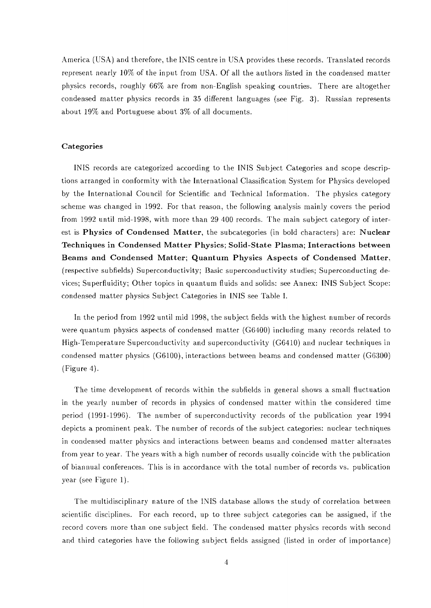America (USA) and therefore, the INIS centre in USA provides these records. Translated records represent nearly  $10\%$  of the input from USA. Of all the authors listed in the condensed matter physics records, roughly 66% are from non-English speaking countries. There are altogether condensed matter physics records in 35 different languages (see Fig. 3). Russian represents about 19% and Portuguese about 3% of all documents.

#### **Categories**

INIS records are categorized according to the INIS Subject Categories and scope descriptions arranged in conformity with the International Classification System for Physics developed by the International Council for Scientific and Technical Information. The physics category scheme was changed in 1992. For that reason, the following analysis mainly covers the period from 1992 until mid-1998, with more than 29 400 records. The main subject category of interest is **Physics of Condensed Matter,** the subcategories (in bold characters) are: **Nuclear Techniques in Condensed Matter Physics; Solid-State Plasma; Interactions between** Beams **and Condensed Matter; Quantum Physics Aspects of Condensed Matter,** (respective subfields) Superconductivity; Basic superconductivity studies; Superconducting devices; Superfluidity; Other topics in quantum fluids and solids: see Annex: INIS Subject Scope: condensed matter physics Subject Categories in INIS see Table I.

In the period from 1992 until mid 1998, the subject fields with the highest number of records were quantum physics aspects of condensed matter (G6400) including many records related to High-Temperature Superconductivity and superconductivity (G6410) and nuclear techniques in condensed matter physics (G6100), interactions between beams and condensed matter (G6300) (Figure 4).

The time development of records within the subfields in general shows a small fluctuation in the yearly number of records in physics of condensed matter within the considered time period (1991-1996). The number of superconductivity records of the publication year 1994 depicts a prominent peak. The number of records of the subject categories: nuclear techniques in condensed matter physics and interactions between beams and condensed matter alternates from year to year. The years with a high number of records usually coincide with the publication of biannual conferences. This is in accordance with the total number of records vs. publication year (see Figure 1).

The multidisciplinary nature of the INIS database allows the study of correlation between scientific disciplines. For each record, up to three subject categories can be assigned, if the record covers more than one subject field. The condensed matter physics records with second and third categories have the following subject fields assigned (listed in order of importance)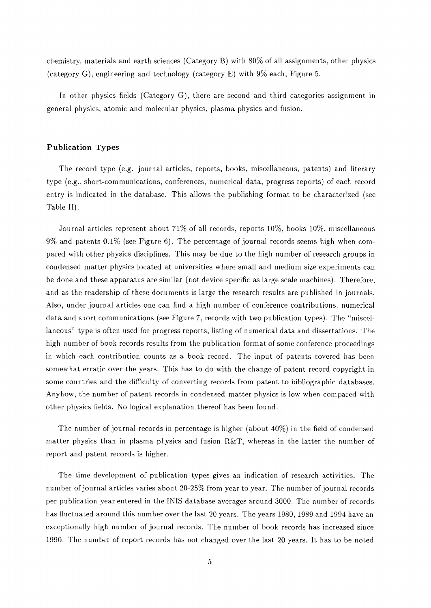chemistry, materials and earth sciences (Category B) with 80% of all assignments, other physics (category G), engineering and technology (category E) with 9% each, Figure 5.

In other physics fields (Category G), there are second and third categories assignment in general physics, atomic and molecular physics, plasma physics and fusion.

#### **Publication Types**

The record type (e.g. journal articles, reports, books, miscellaneous, patents) and literary type (e.g., short-communications, conferences, numerical data, progress reports) of each record entry is indicated in the database. This allows the publishing format to be characterized (see Table II).

Journal articles represent about 71% of all records, reports 10%, books 10%, miscellaneous 9% and patents 0.1% (see Figure 6). The percentage of journal records seems high when compared with other physics disciplines. This may be due to the high number of research groups in condensed matter physics located at universities where small and medium size experiments can be done and these apparatus are similar (not device specific as large scale machines). Therefore, and as the readership of these documents is large the research results are published in journals. Also, under journal articles one can find a high number of conference contributions, numerical data and short communications (see Figure 7, records with two publication types). The "miscellaneous" type is often used for progress reports, listing of numerical data and dissertations. The high number of book records results from the publication format of some conference proceedings in which each contribution counts as a book record. The input of patents covered has been somewhat erratic over the years. This has to do with the change of patent record copyright in some countries and the difficulty of converting records from patent to bibliographic databases. Anyhow, the number of patent records in condensed matter physics is low when compared with other physics fields. No logical explanation thereof has been found.

The number of journal records in percentage is higher (about 40%) in the field of condensed matter physics than in plasma physics and fusion  $R\&T$ , whereas in the latter the number of report and patent records is higher.

The time development of publication types gives an indication of research activities. The number of journal articles varies about 20-25% from year to year. The number of journal records per publication year entered in the INIS database averages around 3000. The number of records has fluctuated around this number over the last 20 years. The years 1980, 1989 and 1994 have an exceptionally high number of journal records. The number of book records has increased since 1990. The number of report records has not changed over the last 20 years. It has to be noted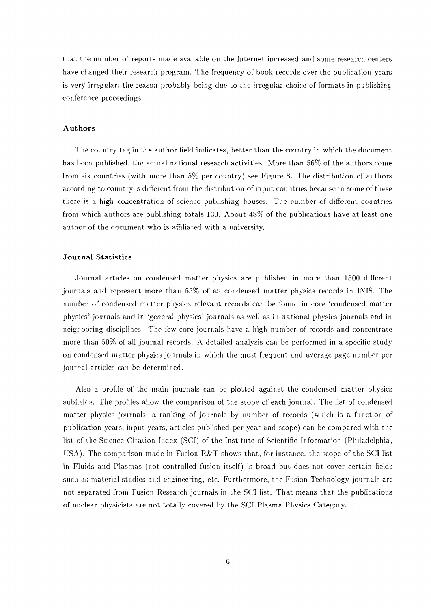that the number of reports made available on the Internet increased and some research centers have changed their research program. The frequency of book records over the publication years is very irregular; the reason probably being due to the irregular choice of formats in publishing conference proceedings.

#### **Authors**

The country tag in the author field indicates, better than the country in which the document has been published, the actual national research activities. More than 56% of the authors come from six countries (with more than 5% per country) see Figure 8. The distribution of authors according to country is different from the distribution of input countries because in some of these there is a high concentration of science publishing houses. The number of different countries from which authors are publishing totals 130. About 48% of the publications have at least one author of the document who is affiliated with a university.

#### **Journal Statistics**

Journal articles on condensed matter physics are published in more than 1500 different journals and represent more than 55% of all condensed matter physics records in INIS. The number of condensed matter physics relevant records can be found in core 'condensed matter physics' journals and in 'general physics' journals as well as in national physics journals and in neighboring disciplines. The few core journals have a high number of records and concentrate more than 50% of all journal records. A detailed analysis can be performed in a specific study on condensed matter physics journals in which the most frequent and average page number per journal articles can be determined.

Also a profile of the main journals can be plotted against the condensed matter physics subfields. The profiles allow the comparison of the scope of each journal. The list of condensed matter physics journals, a ranking of journals by number of records (which is a function of publication years, input years, articles published per year and scope) can be compared with the list of the Science Citation Index (SCI) of the Institute of Scientific Information (Philadelphia, USA). The comparison made in Fusion R&T shows that, for instance, the scope of the SCI list in Fluids and Plasmas (not controlled fusion itself) is broad but does not cover certain fields such as material studies and engineering, etc. Furthermore, the Fusion Technology journals are not separated from Fusion Research journals in the SCI list. That means that the publications of nuclear physicists are not totally covered by the SCI Plasma Physics Category.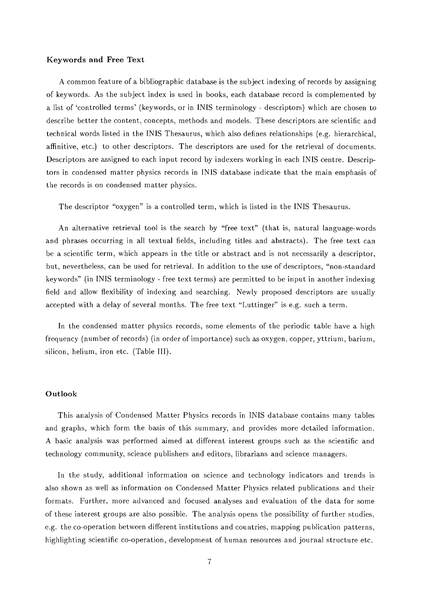#### **Keywords and Free** Text

A common feature of a bibliographic database is the subject indexing of records by assigning of keywords. As the subject index is used in books, each database record is complemented by a list of 'controlled terms' (keywords, or in INIS terminology - descriptors) which are chosen to describe better the content, concepts, methods and models. These descriptors are scientific and technical words listed in the INIS Thesaurus, which also defines relationships (e.g. hierarchical, affinitive, etc.) to other descriptors. The descriptors are used for the retrieval of documents. Descriptors are assigned to each input record by indexers working in each INIS centre. Descriptors in condensed matter physics records in INIS database indicate that the main emphasis of the records is on condensed matter physics.

The descriptor "oxygen" is a controlled term, which is listed in the INIS Thesaurus.

An alternative retrieval tool is the search by "free text" (that is, natural language-words and phrases occurring in all textual fields, including titles and abstracts). The free text can be a scientific term, which appears in the title or abstract and is not necessarily a descriptor, but, nevertheless, can be used for retrieval. In addition to the use of descriptors, "non-standard keywords" (in INIS terminology - free text terms) are permitted to be input in another indexing field and allow flexibility of indexing and searching. Newly proposed descriptors are usually accepted with a delay of several months. The free text "Luttinger" is e.g. such a term.

In the condensed matter physics records, some elements of the periodic table have a high frequency (number of records) (in order of importance) such as oxygen, copper, yttrium, barium, silicon, helium, iron etc. (Table **III).**

#### **Outlook**

This analysis of Condensed Matter Physics records in INIS database contains many tables and graphs, which form the basis of this summary, and provides more detailed information. A basic analysis was performed aimed at different interest groups such as the scientific and technology community, science publishers and editors, librarians and science managers.

In the study, additional information on science and technology indicators and trends is also shown as well as information on Condensed Matter Physics related publications and their formats. Further, more advanced and focused analyses and evaluation of the data for some of these interest groups are also possible. The analysis opens the possibility of further studies, e.g. the co-operation between different institutions and countries, mapping publication patterns, highlighting scientific co-operation, development of human resources and journal structure etc.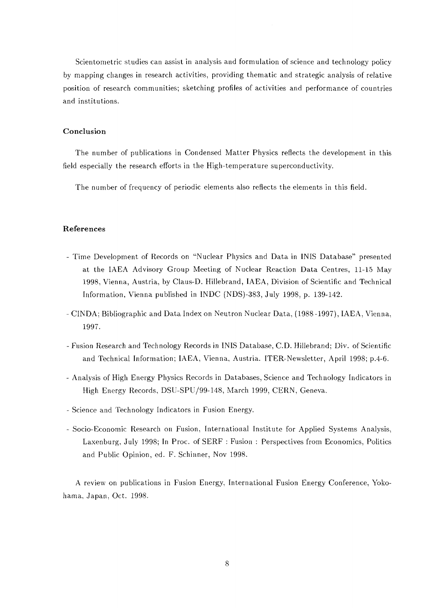Scientometric studies can assist in analysis and formulation of science and technology policy by mapping changes in research activities, providing thematic and strategic analysis of relative position of research communities; sketching profiles of activities and performance of countries and institutions.

#### **Conclusion**

The number of publications in Condensed Matter Physics reflects the development in this field especially the research efforts in the High-temperature superconductivity.

The number of frequency of periodic elements also reflects the elements in this field.

#### **References**

- Time Development of Records on "Nuclear Physics and Data in INIS Database" presented at the IAEA Advisory Group Meeting of Nuclear Reaction Data Centres, 11-15 May 1998, Vienna, Austria, by Claus-D. Hillebrand, IAEA, Division of Scientific and Technical Information, Vienna published in INDC (NDS)-383, July 1998, p. 139-142.
- CINDA; Bibliographic and Data Index on Neutron Nuclear Data, (1988-1997), IAEA, Vienna, 1997.
- Fusion Research and Technology Records in INIS Database, CD. Hillebrand; Div. of Scientific and Technical Information; IAEA, Vienna, Austria. ITER-Newsletter, April 1998; p.4-6.
- Analysis of High Energy Physics Records in Databases, Science and Technology Indicators in High Energy Records, DSU-SPU/99-148, March 1999, CERN, Geneva.
- Science and Technology Indicators in Fusion Energy.
- Socio-Economic Research on Fusion, International Institute for Applied Systems Analysis, Laxenburg, July 1998; In Proc. of SERF : Fusion : Perspectives from Economics, Politics and Public Opinion, ed. F. Schinner, Nov 1998.

A review on publications in Fusion Energy, International Fusion Energy Conference, Yokohama, Japan, Oct. 1998.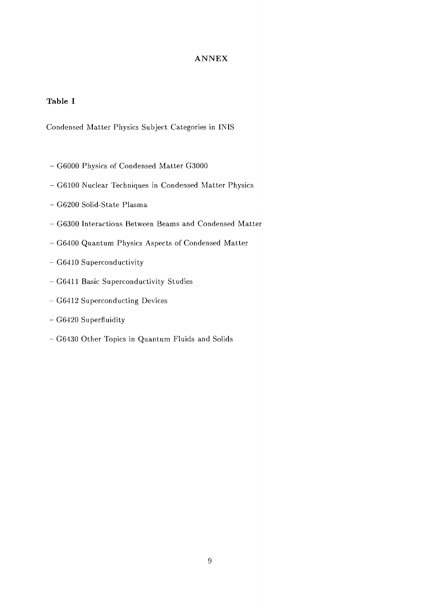## **Table I**

Condensed Matter Physics Subject Categories in INIS

- G6000 Physics of Condensed Matter G3000
- G6100 Nuclear Techniques in Condensed Matter Physics
- G6200 Solid-State Plasma
- G6300 Interactions Between Beams and Condensed Matter
- G6400 Quantum Physics Aspects of Condensed Matter
- G6410 Superconductivity
- G6411 Basic Superconductivity Studies
- G6412 Superconducting Devices
- G6420 Superfluidity
- G6430 Other Topics in Quantum Fluids and Solids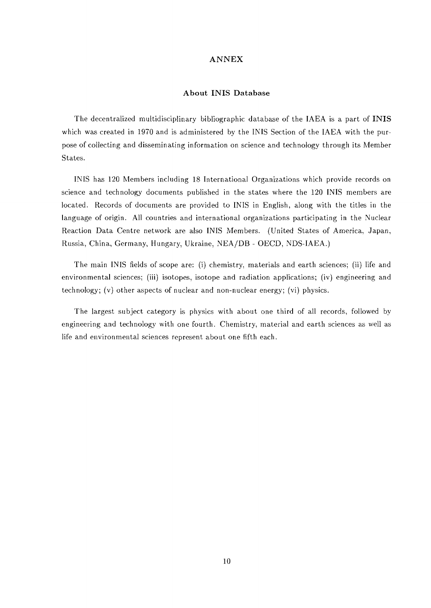#### **About INIS Database**

The decentralized multidisciplinary bibliographic database of the IAEA is a part of **INIS** which was created in 1970 and is administered by the INIS Section of the IAEA with the purpose of collecting and disseminating information on science and technology through its Member States.

INIS has 120 Members including 18 International Organizations which provide records on science and technology documents published in the states where the 120 INIS members are located. Records of documents are provided to INIS in English, along with the titles in the language of origin. All countries and international organizations participating in the Nuclear Reaction Data Centre network are also INIS Members. (United States of America, Japan, Russia, China, Germany, Hungary, Ukraine, NEA/DB - OECD, NDS-IAEA.)

The main INIS fields of scope are: (i) chemistry, materials and earth sciences; (ii) life and environmental sciences; (iii) isotopes, isotope and radiation applications; (iv) engineering and technology; (v) other aspects of nuclear and non-nuclear energy; (vi) physics.

The largest subject category is physics with about one third of all records, followed by engineering and technology with one fourth. Chemistry, material and earth sciences as well as life and environmental sciences represent about one fifth each.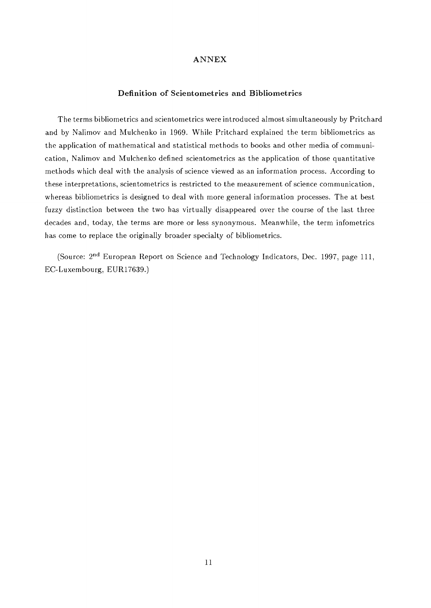#### **Definition of Scientometrics and Bibliometrics**

The terms bibliometrics and scientometrics were introduced almost simultaneously by Pritchard and by Nalimov and Mulchenko in 1969. While Pritchard explained the term bibliometrics as the application of mathematical and statistical methods to books and other media of communication, Nalimov and Mulchenko defined scientometrics as the application of those quantitative methods which deal with the analysis of science viewed as an information process. According to these interpretations, scientometrics is restricted to the measurement of science communication, whereas bibliometrics is designed to deal with more general information processes. The at best fuzzy distinction between the two has virtually disappeared over the course of the last three decades and, today, the terms are more or less synonymous. Meanwhile, the term infometrics has come to replace the originally broader specialty of bibliometrics.

(Source: 2<sup>nd</sup> European Report on Science and Technology Indicators, Dec. 1997, page 111, EC-Luxembourg, EUR17639.)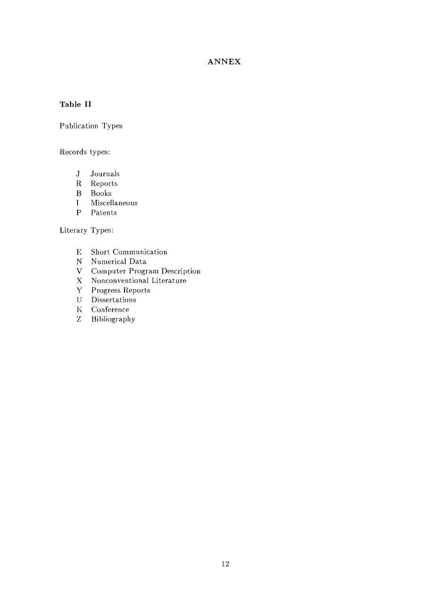## **Table II**

Publication Types

Records types:

- J Journals
- R Reports
- B Books
- I Miscellaneous
- P Patents

Literary Types:

- E Short Communication
- N Numerical Data
- V Computer Program Description
- X Nonconventional Literature
- Y Progress Reports
- U Dissertations
- K Conference
- Z Bibliography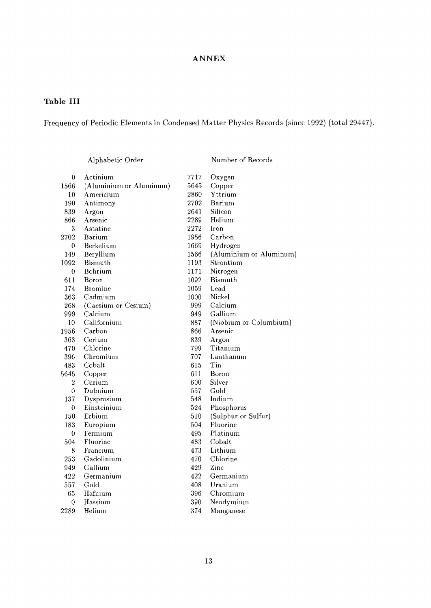## **Table III**

Frequency of Periodic Elements in Condensed Matter Physics Records (since 1992) (total 29447).

Alphabetic Order

Number of Records

| $\boldsymbol{0}$ | Actinium                | 7717 | Oxygen                  |
|------------------|-------------------------|------|-------------------------|
| 1566             | (Aluminium or Aluminum) | 5645 | Copper                  |
| 10               | Americium               | 2860 | Yttrium                 |
| 190              | Antimony                | 2702 | Barium                  |
| 839              |                         | 2641 | Silicon                 |
| 866              | Argon<br>Arsenic        | 2289 | Helium                  |
| 3                | Astatine                | 2272 | Iron                    |
| 2702             | Barium                  | 1956 | Carbon                  |
|                  |                         |      |                         |
| 0                | Berkelium               | 1669 | Hydrogen                |
| 149              | Beryllium               | 1566 | (Aluminium or Aluminum) |
| 1092             | <b>Bismuth</b>          | 1193 | Strontium               |
| $\boldsymbol{0}$ | Bohrium                 | 1171 | Nitrogen                |
| 611              | Boron                   | 1092 | <b>Bismuth</b>          |
| 174              | <b>Bromine</b>          | 1059 | Lead                    |
| 363              | Cadmium                 | 1000 | Nickel                  |
| 268              | (Caesium or Cesium)     | 999  | Calcium                 |
| 999              | Calcium                 | 949  | Gallium                 |
| 10               | Californium             | 887  | (Niobium or Columbium)  |
| 1956             | Carbon                  | 866  | Arsenic                 |
| 363              | Cerium                  | 839  | Argon                   |
| 470              | Chlorine                | 799  | Titanium                |
| 396              | Chromium                | 707  | Lanthanum               |
| 483              | Cobalt                  | 615  | Tin                     |
| 5645             | Copper                  | 611  | Boron                   |
| $\overline{2}$   | Curium                  | 600  | Silver                  |
| $\boldsymbol{0}$ | Dubnium                 | 557  | Gold                    |
| 137              | Dysprosium              | 548. | Indium                  |
| 0                | Einsteinium             | 524  | Phosphorus              |
| 150              | Erbium                  | 510  | (Sulphur or Sulfur)     |
| 183              | Europium                | 504  | Fluorine                |
| $\boldsymbol{0}$ | Fermium                 | 495  | Platinum                |
| 504              | Fluorine                | 483  | Cobalt                  |
| 8                | Francium                | 473  | Lithium                 |
| 253              | Gadolinium              | 470  | Chlorine                |
| 949              | Gallium                 | 429  | Zinc                    |
| 422              | Germanium               | 422  | Germanium               |
| 557              | Gold                    | 408  | Uranium                 |
| 65               | Hafnium                 | 396  | Chromium                |
| $\boldsymbol{0}$ | Hassium                 | 390  | Neodymium               |
| 2289             | Helium                  | 374  | Manganese               |
|                  |                         |      |                         |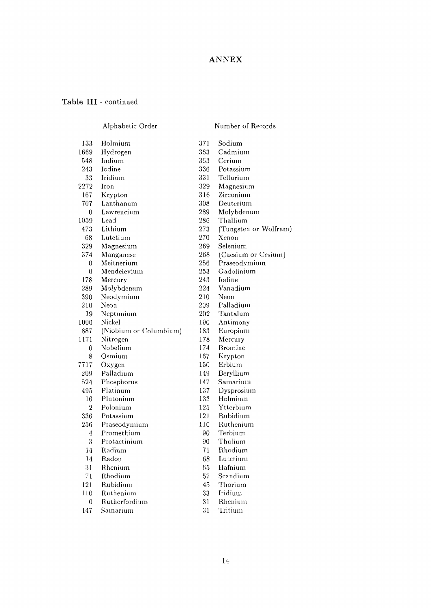#### Table III - continued

#### Alphabetic Order

#### Number of Records

(Tungsten or Wolfram)

(Caesium or Cesium) Praseodymium Gadolinium Iodine Vanadium Neon Palladium Tantalum Antimony Europium Mercury Bromine Krypton Erbium Beryllium Samarium Dysprosium Holmium Ytterbium Rubidium Ruthenium Terbium Thulium Rhodium Lutetium Hafnium Scandium

Sodium Cadmium Cerium Potassium Tellurium Magnesium Zirconium Deuterium Molybdenum Thallium

Xenon Selenium

| 133            | Holmium                | 371 |
|----------------|------------------------|-----|
| 1669           | Hydrogen               | 363 |
| 548            | Indium                 | 363 |
| 243            | Iodine                 | 336 |
| 33             | Iridium                | 331 |
| 2272           | Iron                   | 329 |
| 167            | Krypton                | 316 |
| 707            | Lanthanum              | 308 |
| 0              | Lawrencium             | 289 |
| 1059           | Lead                   | 286 |
| 473            | Lithium                | 273 |
| 68             | Lutetium               | 270 |
| 329            | Magnesium              | 269 |
| 374            | Manganese              | 268 |
| 0              | Meitnerium             | 256 |
| 0              | Mendelevium            | 253 |
| 178            | Mercury                | 243 |
| 289            | Molybdenum             | 224 |
| 390            | Neodymium              | 210 |
| 210            | Neon                   | 209 |
| 19             | Neptunium              | 202 |
| 1000           | Nickel                 | 190 |
| 887            | (Niobium or Columbium) | 183 |
| 1171           | Nitrogen               | 178 |
| 0              | Nobelium               | 174 |
| 8              | Osmium                 | 167 |
| 7717           | Oxygen                 | 150 |
| 209            | Palladium              | 149 |
| 524            | Phosphorus             | 147 |
| 495            | Platinum               | 137 |
| 16             | Plutonium              | 133 |
| $\overline{2}$ | Polonium               | 125 |
| 336            | Potassium              | 121 |
| 256            | Praseodymium           | 110 |
| 4              | Promethium             | 90  |
| 3              | Protactinium           | 90  |
| 14             | Radium                 | 71  |
| 14             | Radon                  | 68  |
| 31             | Rhenium                | 65  |
| 71             | Rhodium                | 57  |
| 121            | Rubidium               | 45  |
| 110            | Ruthenium              | 33  |
| 0              | Rutherfordium          | 31  |
| 147            | Samarium               | 31  |

45  $3^{\circ}$ 31 31 Thorium Iridium Rhenium Tritium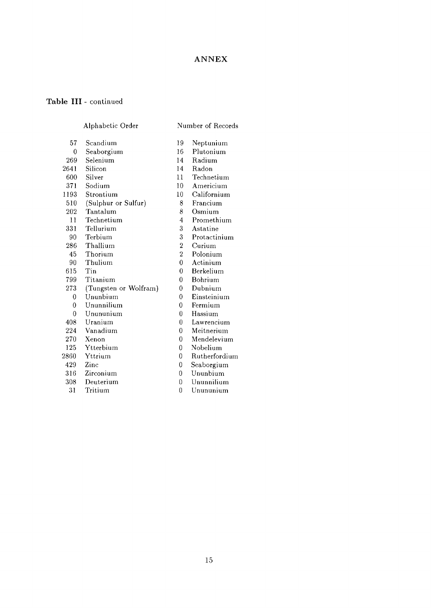### Table III - continued

#### Number of Records

Neptunium Plutonium Radium

- 57 0 269 2641 600 371 1193 510 202 11 331 90 286 45 90 615 799 273 0 0 0 408 224 270 125 2860 429 316 Alphabetic Order Scandium Seaborgium Selenium Silicon Silver Sodium Strontium (Sulphur or Sulfur) Tantalum Technetium Tellurium Terbium Thallium Thorium Thulium Tin Titanium (Tungsten or Wolfram) Ununbium Ununnilium Unununium Uranium Vanadium Xenon Ytterbium Yttrium Zinc Zirconium
- 
- 308 31 Deuterium Tritium

14 11 10 Radon Technetium Americium

19 16 14

- 10 Californium
- 8 Francium
- 8 Osmium
- 4 Promethium
- 3 Astatine
- 3 Protactinium
- 2 Curium
- 2 Polonium
- $\overline{0}$ Actinium
- 0 Berkelium
- 0 Bohrium
- 0 Dubnium
- 0 Einsteinium
- 0 Fermium
- 0 Hassium
- 0 Lawrencium
- 0 Meitnerium
- 0 Mendelevium
- 0 Nobelium
- 0 Rutherfordium
- 0 Seaborgium
- 0 Ununbium
- $\theta$ Ununnilium
- $\overline{0}$ Unununium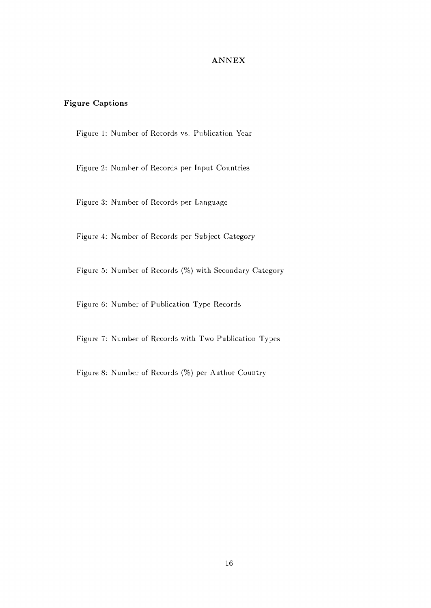## **Figure Captions**

Figure 1: Number of Records vs. Publication Year

Figure 2: Number of Records per Input Countries

Figure 3: Number of Records per Language

Figure 4: Number of Records per Subject Category

Figure 5: Number of Records (%) with Secondary Category

Figure 6: Number of Publication Type Records

Figure 7: Number of Records with Two Publication Types

Figure 8: Number of Records (%) per Author Country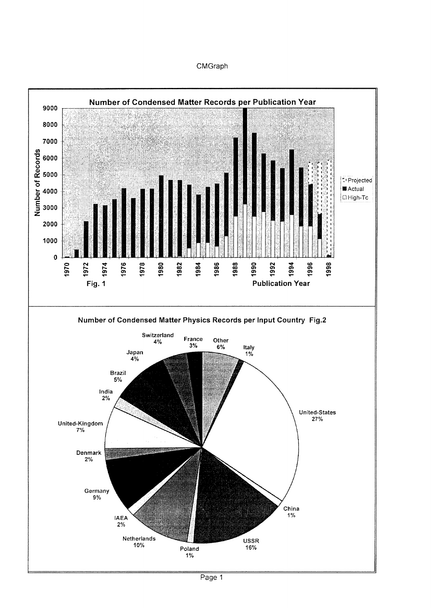#### CMGraph

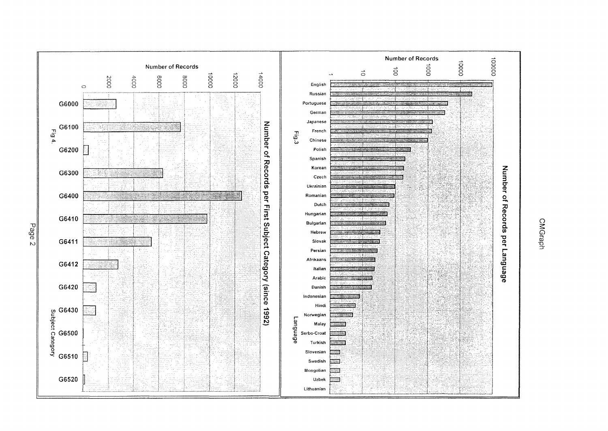



Page 2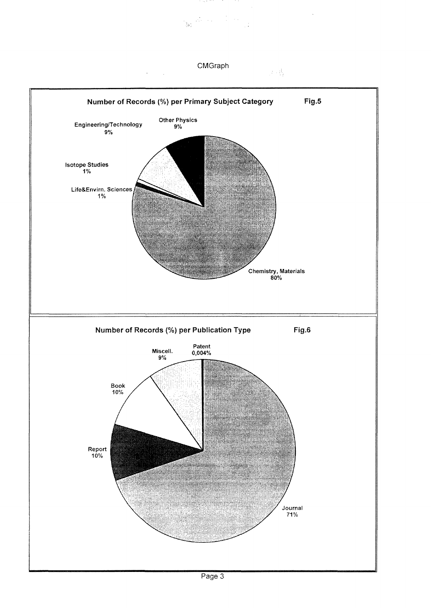$\label{eq:3.1} \frac{1}{\sqrt{2}}\sum_{i=1}^n\frac{\left(\frac{1}{\sqrt{2}}\right)^2}{\left(\frac{1}{\sqrt{2}}\right)^2}\left(\frac{1}{\sqrt{2}}\right)^2\left(\frac{1}{\sqrt{2}}\right)^2\left(\frac{1}{\sqrt{2}}\right)^2.$ 

at though a contr

 $\sim$ 

学校